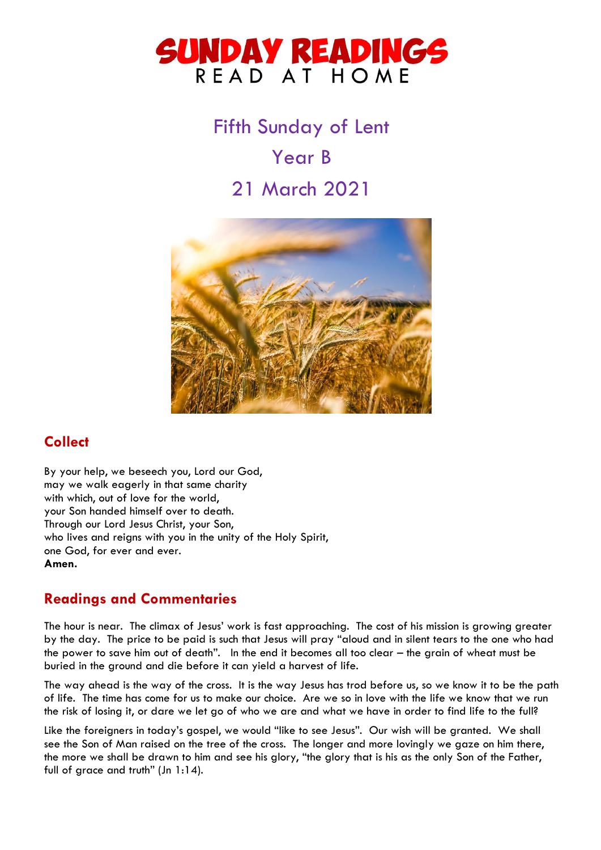# SUNDAY READINGS READ AT HOME

# Fifth Sunday of Lent Year B 21 March 2021



# **Collect**

By your help, we beseech you, Lord our God, may we walk eagerly in that same charity with which, out of love for the world, your Son handed himself over to death. Through our Lord Jesus Christ, your Son, who lives and reigns with you in the unity of the Holy Spirit, one God, for ever and ever. **Amen.**

# **Readings and Commentaries**

The hour is near. The climax of Jesus' work is fast approaching. The cost of his mission is growing greater by the day. The price to be paid is such that Jesus will pray "aloud and in silent tears to the one who had the power to save him out of death". In the end it becomes all too clear – the grain of wheat must be buried in the ground and die before it can yield a harvest of life.

The way ahead is the way of the cross. It is the way Jesus has trod before us, so we know it to be the path of life. The time has come for us to make our choice. Are we so in love with the life we know that we run the risk of losing it, or dare we let go of who we are and what we have in order to find life to the full?

Like the foreigners in today's gospel, we would "like to see Jesus". Our wish will be granted. We shall see the Son of Man raised on the tree of the cross. The longer and more lovingly we gaze on him there, the more we shall be drawn to him and see his glory, "the glory that is his as the only Son of the Father, full of arace and truth" (Jn 1:14).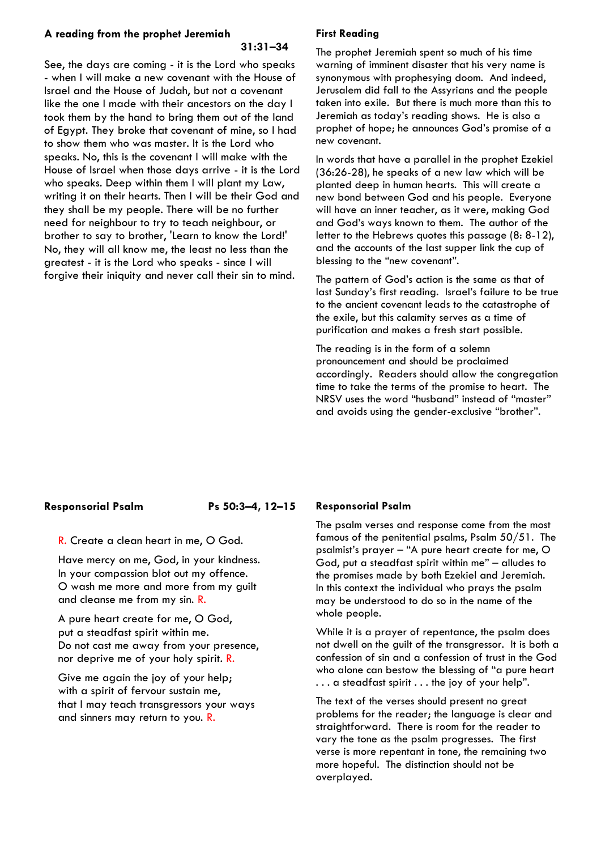## **A reading from the prophet Jeremiah**

 **31:31–34**

See, the days are coming - it is the Lord who speaks - when I will make a new covenant with the House of Israel and the House of Judah, but not a covenant like the one I made with their ancestors on the day I took them by the hand to bring them out of the land of Egypt. They broke that covenant of mine, so I had to show them who was master. It is the Lord who speaks. No, this is the covenant I will make with the House of Israel when those days arrive - it is the Lord who speaks. Deep within them I will plant my Law, writing it on their hearts. Then I will be their God and they shall be my people. There will be no further need for neighbour to try to teach neighbour, or brother to say to brother, 'Learn to know the Lord!' No, they will all know me, the least no less than the greatest - it is the Lord who speaks - since I will forgive their iniquity and never call their sin to mind.

#### **First Reading**

The prophet Jeremiah spent so much of his time warning of imminent disaster that his very name is synonymous with prophesying doom. And indeed, Jerusalem did fall to the Assyrians and the people taken into exile. But there is much more than this to Jeremiah as today's reading shows. He is also a prophet of hope; he announces God's promise of a new covenant.

In words that have a parallel in the prophet Ezekiel (36:26-28), he speaks of a new law which will be planted deep in human hearts. This will create a new bond between God and his people. Everyone will have an inner teacher, as it were, making God and God's ways known to them. The author of the letter to the Hebrews quotes this passage (8: 8-12), and the accounts of the last supper link the cup of blessing to the "new covenant".

The pattern of God's action is the same as that of last Sunday's first reading. Israel's failure to be true to the ancient covenant leads to the catastrophe of the exile, but this calamity serves as a time of purification and makes a fresh start possible.

The reading is in the form of a solemn pronouncement and should be proclaimed accordingly. Readers should allow the congregation time to take the terms of the promise to heart. The NRSV uses the word "husband" instead of "master" and avoids using the gender-exclusive "brother".

#### **Responsorial Psalm Ps 50:3–4, 12–15**

#### **Responsorial Psalm**

R. Create a clean heart in me, O God.

Have mercy on me, God, in your kindness. In your compassion blot out my offence. O wash me more and more from my guilt and cleanse me from my sin. R.

A pure heart create for me, O God, put a steadfast spirit within me. Do not cast me away from your presence, nor deprive me of your holy spirit. R.

Give me again the joy of your help; with a spirit of fervour sustain me, that I may teach transgressors your ways and sinners may return to you. R.

The psalm verses and response come from the most famous of the penitential psalms, Psalm 50/51. The psalmist's prayer – "A pure heart create for me, O God, put a steadfast spirit within me" – alludes to the promises made by both Ezekiel and Jeremiah. In this context the individual who prays the psalm may be understood to do so in the name of the whole people.

While it is a prayer of repentance, the psalm does not dwell on the guilt of the transgressor. It is both a confession of sin and a confession of trust in the God who alone can bestow the blessing of "a pure heart . . . a steadfast spirit . . . the joy of your help".

The text of the verses should present no great problems for the reader; the language is clear and straightforward. There is room for the reader to vary the tone as the psalm progresses. The first verse is more repentant in tone, the remaining two more hopeful. The distinction should not be overplayed.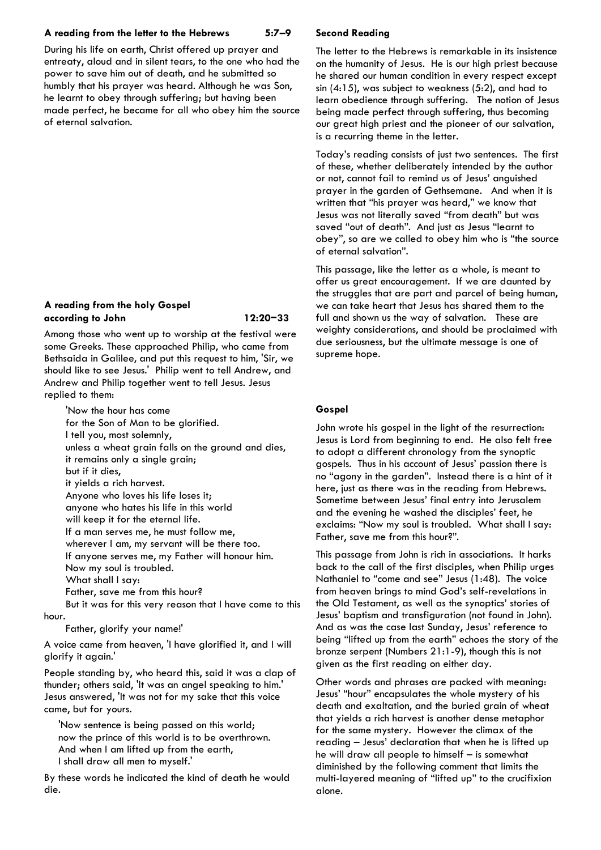## **A reading from the letter to the Hebrews 5:7–9**

During his life on earth, Christ offered up prayer and entreaty, aloud and in silent tears, to the one who had the power to save him out of death, and he submitted so humbly that his prayer was heard. Although he was Son, he learnt to obey through suffering; but having been made perfect, he became for all who obey him the source of eternal salvation.

## **A reading from the holy Gospel according to John 12:20−33**

Among those who went up to worship at the festival were some Greeks. These approached Philip, who came from Bethsaida in Galilee, and put this request to him, 'Sir, we should like to see Jesus.' Philip went to tell Andrew, and Andrew and Philip together went to tell Jesus. Jesus replied to them:

'Now the hour has come for the Son of Man to be glorified. I tell you, most solemnly, unless a wheat grain falls on the ground and dies, it remains only a single grain; but if it dies, it yields a rich harvest. Anyone who loves his life loses it; anyone who hates his life in this world will keep it for the eternal life. If a man serves me, he must follow me, wherever I am, my servant will be there too. If anyone serves me, my Father will honour him. Now my soul is troubled. What shall I say: Father, save me from this hour? But it was for this very reason that I have come to this hour.

Father, glorify your name!'

A voice came from heaven, 'I have glorified it, and I will glorify it again.'

People standing by, who heard this, said it was a clap of thunder; others said, 'It was an angel speaking to him.' Jesus answered, 'It was not for my sake that this voice came, but for yours.

'Now sentence is being passed on this world; now the prince of this world is to be overthrown. And when I am lifted up from the earth, I shall draw all men to myself.'

By these words he indicated the kind of death he would die.

#### **Second Reading**

The letter to the Hebrews is remarkable in its insistence on the humanity of Jesus. He is our high priest because he shared our human condition in every respect except sin (4:15), was subject to weakness (5:2), and had to learn obedience through suffering. The notion of Jesus being made perfect through suffering, thus becoming our great high priest and the pioneer of our salvation, is a recurring theme in the letter.

Today's reading consists of just two sentences. The first of these, whether deliberately intended by the author or not, cannot fail to remind us of Jesus' anguished prayer in the garden of Gethsemane. And when it is written that "his prayer was heard," we know that Jesus was not literally saved "from death" but was saved "out of death". And just as Jesus "learnt to obey", so are we called to obey him who is "the source of eternal salvation".

This passage, like the letter as a whole, is meant to offer us great encouragement. If we are daunted by the struggles that are part and parcel of being human, we can take heart that Jesus has shared them to the full and shown us the way of salvation. These are weighty considerations, and should be proclaimed with due seriousness, but the ultimate message is one of supreme hope.

#### **Gospel**

John wrote his gospel in the light of the resurrection: Jesus is Lord from beginning to end. He also felt free to adopt a different chronology from the synoptic gospels. Thus in his account of Jesus' passion there is no "agony in the garden". Instead there is a hint of it here, just as there was in the reading from Hebrews. Sometime between Jesus' final entry into Jerusalem and the evening he washed the disciples' feet, he exclaims: "Now my soul is troubled. What shall I say: Father, save me from this hour?".

This passage from John is rich in associations. It harks back to the call of the first disciples, when Philip urges Nathaniel to "come and see" Jesus (1:48). The voice from heaven brings to mind God's self-revelations in the Old Testament, as well as the synoptics' stories of Jesus' baptism and transfiguration (not found in John). And as was the case last Sunday, Jesus' reference to being "lifted up from the earth" echoes the story of the bronze serpent (Numbers 21:1-9), though this is not given as the first reading on either day.

Other words and phrases are packed with meaning: Jesus' "hour" encapsulates the whole mystery of his death and exaltation, and the buried grain of wheat that yields a rich harvest is another dense metaphor for the same mystery. However the climax of the reading – Jesus' declaration that when he is lifted up he will draw all people to himself – is somewhat diminished by the following comment that limits the multi-layered meaning of "lifted up" to the crucifixion alone.